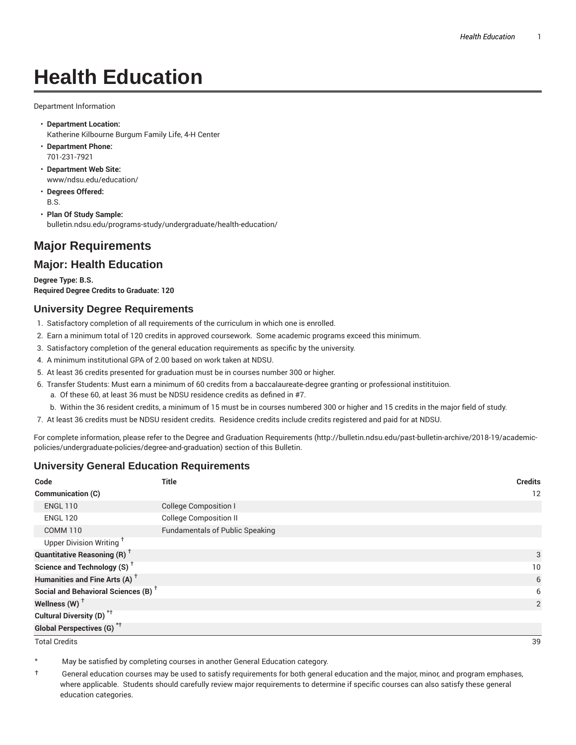# **Health Education**

Department Information

- **Department Location:** Katherine Kilbourne Burgum Family Life, 4-H Center
- **Department Phone:** 701-231-7921
- **Department Web Site:** www/ndsu.edu/education/
- **Degrees Offered:** B.S.
- **Plan Of Study Sample:** bulletin.ndsu.edu/programs-study/undergraduate/health-education/

## **Major Requirements**

### **Major: Health Education**

**Degree Type: B.S. Required Degree Credits to Graduate: 120**

#### **University Degree Requirements**

- 1. Satisfactory completion of all requirements of the curriculum in which one is enrolled.
- 2. Earn a minimum total of 120 credits in approved coursework. Some academic programs exceed this minimum.
- 3. Satisfactory completion of the general education requirements as specific by the university.
- 4. A minimum institutional GPA of 2.00 based on work taken at NDSU.
- 5. At least 36 credits presented for graduation must be in courses number 300 or higher.
- 6. Transfer Students: Must earn a minimum of 60 credits from a baccalaureate-degree granting or professional institituion.
	- a. Of these 60, at least 36 must be NDSU residence credits as defined in #7.
	- b. Within the 36 resident credits, a minimum of 15 must be in courses numbered 300 or higher and 15 credits in the major field of study.
- 7. At least 36 credits must be NDSU resident credits. Residence credits include credits registered and paid for at NDSU.

For complete information, please refer to the Degree and Graduation Requirements (http://bulletin.ndsu.edu/past-bulletin-archive/2018-19/academicpolicies/undergraduate-policies/degree-and-graduation) section of this Bulletin.

#### **University General Education Requirements**

| Code                                            | <b>Title</b>                           | <b>Credits</b> |
|-------------------------------------------------|----------------------------------------|----------------|
| Communication (C)                               |                                        | 12             |
| <b>ENGL 110</b>                                 | <b>College Composition I</b>           |                |
| <b>ENGL 120</b>                                 | <b>College Composition II</b>          |                |
| <b>COMM 110</b>                                 | <b>Fundamentals of Public Speaking</b> |                |
| Upper Division Writing <sup>+</sup>             |                                        |                |
| <b>Quantitative Reasoning (R)</b> <sup>†</sup>  |                                        | 3              |
| Science and Technology (S) <sup>+</sup>         |                                        | 10             |
| Humanities and Fine Arts (A) <sup>+</sup>       |                                        | 6              |
| Social and Behavioral Sciences (B) <sup>+</sup> |                                        | 6              |
| Wellness $(W)$ <sup>+</sup>                     |                                        | 2              |
| Cultural Diversity (D) <sup>*†</sup>            |                                        |                |
| <b>Global Perspectives (G)<sup>*†</sup></b>     |                                        |                |

Total Credits 39

May be satisfied by completing courses in another General Education category.

† General education courses may be used to satisfy requirements for both general education and the major, minor, and program emphases, where applicable. Students should carefully review major requirements to determine if specific courses can also satisfy these general education categories.